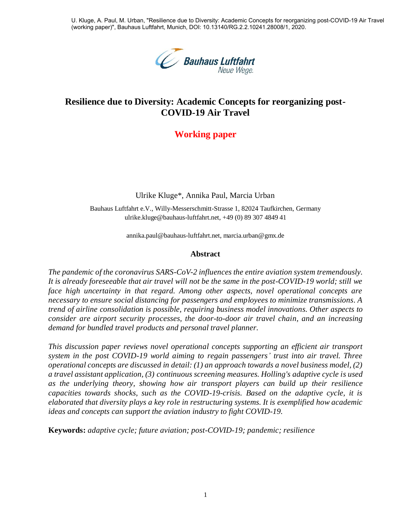U. Kluge, A. Paul, M. Urban, "Resilience due to Diversity: Academic Concepts for reorganizing post-COVID-19 Air Travel (working paper)", Bauhaus Luftfahrt, Munich, DOI: 10.13140/RG.2.2.10241.28008/1, 2020.



# **Resilience due to Diversity: Academic Concepts for reorganizing post-COVID-19 Air Travel**

# **Working paper**

Ulrike Kluge\*, Annika Paul, Marcia Urban

Bauhaus Luftfahrt e.V., Willy-Messerschmitt-Strasse 1, 82024 Taufkirchen, Germany ulrike.kluge@bauhaus-luftfahrt.net, +49 (0) 89 307 4849 41

annika.paul@bauhaus-luftfahrt.net, marcia.urban@gmx.de

#### **Abstract**

*The pandemic of the coronavirus SARS-CoV-2 influences the entire aviation system tremendously. It is already foreseeable that air travel will not be the same in the post-COVID-19 world; still we*  face high uncertainty in that regard. Among other aspects, novel operational concepts are *necessary to ensure social distancing for passengers and employees to minimize transmissions. A trend of airline consolidation is possible, requiring business model innovations. Other aspects to consider are airport security processes, the door-to-door air travel chain, and an increasing demand for bundled travel products and personal travel planner.*

*This discussion paper reviews novel operational concepts supporting an efficient air transport system in the post COVID-19 world aiming to regain passengers' trust into air travel. Three operational concepts are discussed in detail: (1) an approach towards a novel business model, (2) a travel assistant application, (3) continuous screening measures. Holling's adaptive cycle is used as the underlying theory, showing how air transport players can build up their resilience capacities towards shocks, such as the COVID-19-crisis. Based on the adaptive cycle, it is elaborated that diversity plays a key role in restructuring systems. It is exemplified how academic ideas and concepts can support the aviation industry to fight COVID-19.*

**Keywords:** *adaptive cycle; future aviation; post-COVID-19; pandemic; resilience*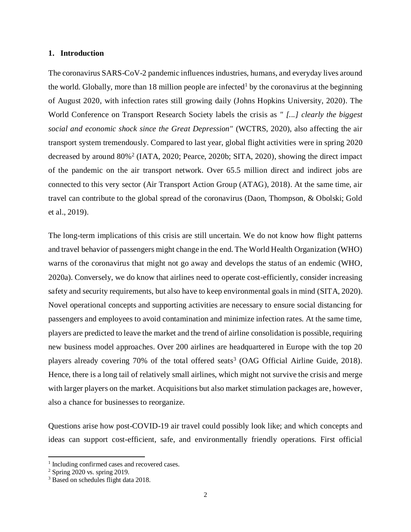### **1. Introduction**

The coronavirus SARS-CoV-2 pandemic influences industries, humans, and everyday lives around the world. Globally, more than 18 million people are infected<sup>1</sup> by the coronavirus at the beginning of August 2020, with infection rates still growing daily (Johns Hopkins University, 2020). The World Conference on Transport Research Society labels the crisis as *" [...] clearly the biggest social and economic shock since the Great Depression"* (WCTRS, 2020), also affecting the air transport system tremendously. Compared to last year, global flight activities were in spring 2020 decreased by around 80%<sup>2</sup> (IATA, 2020; Pearce, 2020b; SITA, 2020), showing the direct impact of the pandemic on the air transport network. Over 65.5 million direct and indirect jobs are connected to this very sector (Air Transport Action Group (ATAG), 2018). At the same time, air travel can contribute to the global spread of the coronavirus (Daon, Thompson, & Obolski; Gold et al., 2019).

The long-term implications of this crisis are still uncertain. We do not know how flight patterns and travel behavior of passengers might change in the end. The World Health Organization (WHO) warns of the coronavirus that might not go away and develops the status of an endemic (WHO, 2020a). Conversely, we do know that airlines need to operate cost-efficiently, consider increasing safety and security requirements, but also have to keep environmental goals in mind (SITA, 2020). Novel operational concepts and supporting activities are necessary to ensure social distancing for passengers and employees to avoid contamination and minimize infection rates. At the same time, players are predicted to leave the market and the trend of airline consolidation is possible, requiring new business model approaches. Over 200 airlines are headquartered in Europe with the top 20 players already covering  $70\%$  of the total offered seats<sup>3</sup> (OAG Official Airline Guide, 2018). Hence, there is a long tail of relatively small airlines, which might not survive the crisis and merge with larger players on the market. Acquisitions but also market stimulation packages are, however, also a chance for businesses to reorganize.

Questions arise how post-COVID-19 air travel could possibly look like; and which concepts and ideas can support cost-efficient, safe, and environmentally friendly operations. First official

 $\overline{a}$ 

<sup>&</sup>lt;sup>1</sup> Including confirmed cases and recovered cases.

 $2$  Spring 2020 vs. spring 2019.

<sup>3</sup> Based on schedules flight data 2018.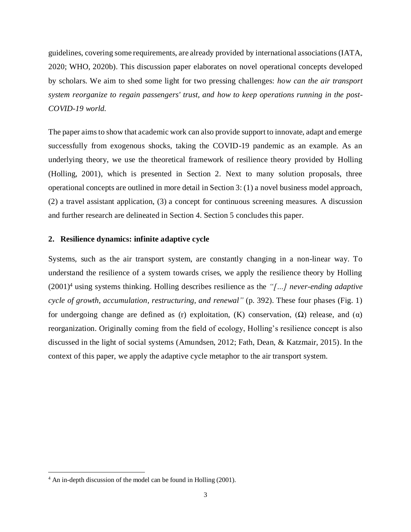guidelines, covering some requirements, are already provided by international associations (IATA, 2020; WHO, 2020b). This discussion paper elaborates on novel operational concepts developed by scholars. We aim to shed some light for two pressing challenges: *how can the air transport system reorganize to regain passengers' trust, and how to keep operations running in the post-COVID-19 world.*

The paper aims to show that academic work can also provide support to innovate, adapt and emerge successfully from exogenous shocks, taking the COVID-19 pandemic as an example. As an underlying theory, we use the theoretical framework of resilience theory provided by Holling (Holling, 2001), which is presented in Section 2. Next to many solution proposals, three operational concepts are outlined in more detail in Section 3: (1) a novel business model approach, (2) a travel assistant application, (3) a concept for continuous screening measures. A discussion and further research are delineated in Section 4. Section 5 concludes this paper.

#### **2. Resilience dynamics: infinite adaptive cycle**

Systems, such as the air transport system, are constantly changing in a non-linear way. To understand the resilience of a system towards crises, we apply the resilience theory by Holling (2001)<sup>4</sup> using systems thinking. Holling describes resilience as the *"[…] never-ending adaptive cycle of growth, accumulation, restructuring, and renewal"* (p. 392). These four phases (Fig. 1) for undergoing change are defined as (r) exploitation, (K) conservation, (Ω) release, and (α) reorganization. Originally coming from the field of ecology, Holling's resilience concept is also discussed in the light of social systems (Amundsen, 2012; Fath, Dean, & Katzmair, 2015). In the context of this paper, we apply the adaptive cycle metaphor to the air transport system.

 $\overline{a}$ 

<sup>4</sup> An in-depth discussion of the model can be found in Holling (2001).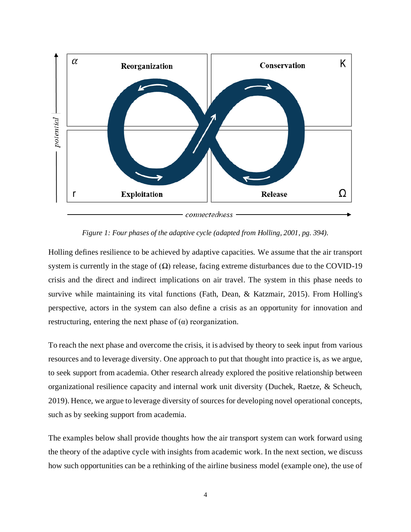

*Figure 1: Four phases of the adaptive cycle (adapted from Holling, 2001, pg. 394).*

Holling defines resilience to be achieved by adaptive capacities. We assume that the air transport system is currently in the stage of  $(\Omega)$  release, facing extreme disturbances due to the COVID-19 crisis and the direct and indirect implications on air travel. The system in this phase needs to survive while maintaining its vital functions (Fath, Dean, & Katzmair, 2015). From Holling's perspective, actors in the system can also define a crisis as an opportunity for innovation and restructuring, entering the next phase of  $(\alpha)$  reorganization.

To reach the next phase and overcome the crisis, it is advised by theory to seek input from various resources and to leverage diversity. One approach to put that thought into practice is, as we argue, to seek support from academia. Other research already explored the positive relationship between organizational resilience capacity and internal work unit diversity (Duchek, Raetze, & Scheuch, 2019). Hence, we argue to leverage diversity of sources for developing novel operational concepts, such as by seeking support from academia.

The examples below shall provide thoughts how the air transport system can work forward using the theory of the adaptive cycle with insights from academic work. In the next section, we discuss how such opportunities can be a rethinking of the airline business model (example one), the use of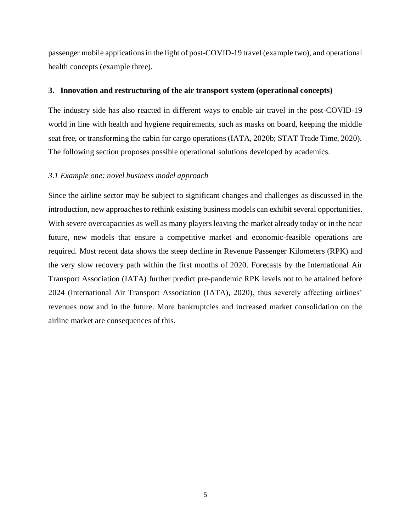passenger mobile applications in the light of post-COVID-19 travel (example two), and operational health concepts (example three).

## **3. Innovation and restructuring of the air transport system (operational concepts)**

The industry side has also reacted in different ways to enable air travel in the post-COVID-19 world in line with health and hygiene requirements, such as masks on board, keeping the middle seat free, or transforming the cabin for cargo operations (IATA, 2020b; STAT Trade Time, 2020). The following section proposes possible operational solutions developed by academics.

#### *3.1 Example one: novel business model approach*

Since the airline sector may be subject to significant changes and challenges as discussed in the introduction, new approaches to rethink existing business models can exhibit several opportunities. With severe overcapacities as well as many players leaving the market already today or in the near future, new models that ensure a competitive market and economic-feasible operations are required. Most recent data shows the steep decline in Revenue Passenger Kilometers (RPK) and the very slow recovery path within the first months of 2020. Forecasts by the International Air Transport Association (IATA) further predict pre-pandemic RPK levels not to be attained before 2024 (International Air Transport Association (IATA), 2020), thus severely affecting airlines' revenues now and in the future. More bankruptcies and increased market consolidation on the airline market are consequences of this.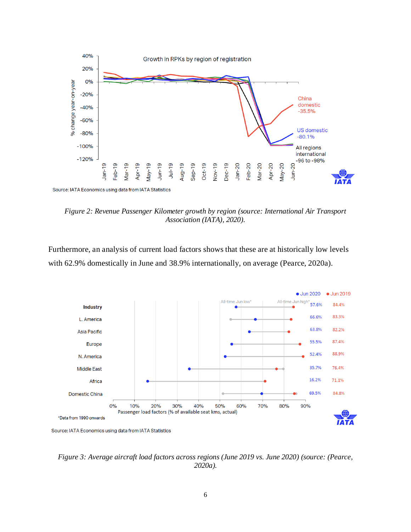

*Figure 2: Revenue Passenger Kilometer growth by region (source: International Air Transport Association (IATA), 2020).*

Furthermore, an analysis of current load factors shows that these are at historically low levels with 62.9% domestically in June and 38.9% internationally, on average (Pearce, 2020a).



*Figure 3: Average aircraft load factors across regions (June 2019 vs. June 2020) (source: (Pearce, 2020a).*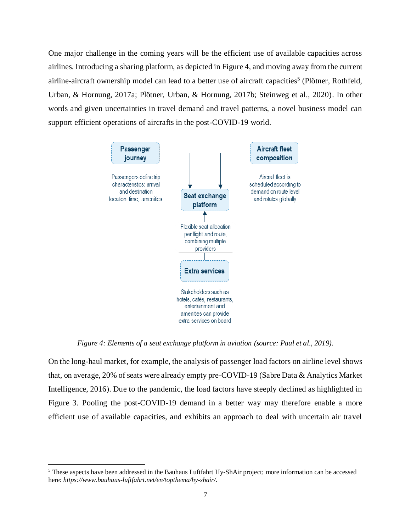One major challenge in the coming years will be the efficient use of available capacities across airlines. Introducing a sharing platform, as depicted in Figure 4, and moving away from the current airline-aircraft ownership model can lead to a better use of aircraft capacities<sup>5</sup> (Plötner, Rothfeld, Urban, & Hornung, 2017a; Plötner, Urban, & Hornung, 2017b; Steinweg et al., 2020). In other words and given uncertainties in travel demand and travel patterns, a novel business model can support efficient operations of aircrafts in the post-COVID-19 world.



*Figure 4: Elements of a seat exchange platform in aviation (source: Paul et al., 2019).*

On the long-haul market, for example, the analysis of passenger load factors on airline level shows that, on average, 20% of seats were already empty pre-COVID-19 (Sabre Data & Analytics Market Intelligence, 2016). Due to the pandemic, the load factors have steeply declined as highlighted in Figure 3. Pooling the post-COVID-19 demand in a better way may therefore enable a more efficient use of available capacities, and exhibits an approach to deal with uncertain air travel

<sup>5</sup> These aspects have been addressed in the Bauhaus Luftfahrt Hy-ShAir project; more information can be accessed here: *https://www.bauhaus-luftfahrt.net/en/topthema/hy-shair/.*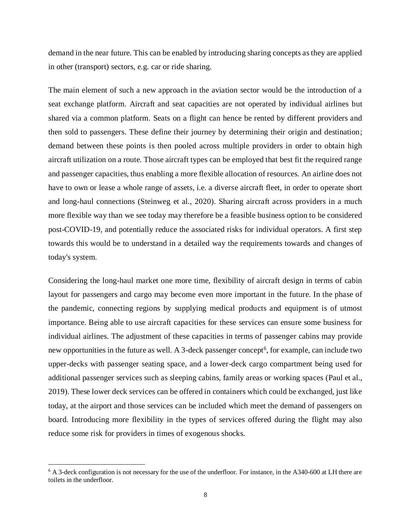demand in the near future. This can be enabled by introducing sharing concepts as they are applied in other (transport) sectors, e.g. car or ride sharing.

The main element of such a new approach in the aviation sector would be the introduction of a seat exchange platform. Aircraft and seat capacities are not operated by individual airlines but shared via a common platform. Seats on a flight can hence be rented by different providers and then sold to passengers. These define their journey by determining their origin and destination; demand between these points is then pooled across multiple providers in order to obtain high aircraft utilization on a route. Those aircraft types can be employed that best fit the required range and passenger capacities, thus enabling a more flexible allocation of resources. An airline does not have to own or lease a whole range of assets, i.e. a diverse aircraft fleet, in order to operate short and long-haul connections (Steinweg et al., 2020). Sharing aircraft across providers in a much more flexible way than we see today may therefore be a feasible business option to be considered post-COVID-19, and potentially reduce the associated risks for individual operators. A first step towards this would be to understand in a detailed way the requirements towards and changes of today's system.

Considering the long-haul market one more time, flexibility of aircraft design in terms of cabin layout for passengers and cargo may become even more important in the future. In the phase of the pandemic, connecting regions by supplying medical products and equipment is of utmost importance. Being able to use aircraft capacities for these services can ensure some business for individual airlines. The adjustment of these capacities in terms of passenger cabins may provide new opportunities in the future as well. A 3-deck passenger concept<sup>6</sup>, for example, can include two upper-decks with passenger seating space, and a lower-deck cargo compartment being used for additional passenger services such as sleeping cabins, family areas or working spaces (Paul et al., 2019). These lower deck services can be offered in containers which could be exchanged, just like today, at the airport and those services can be included which meet the demand of passengers on board. Introducing more flexibility in the types of services offered during the flight may also reduce some risk for providers in times of exogenous shocks.

<sup>&</sup>lt;sup>6</sup> A 3-deck configuration is not necessary for the use of the underfloor. For instance, in the A340-600 at LH there are toilets in the underfloor.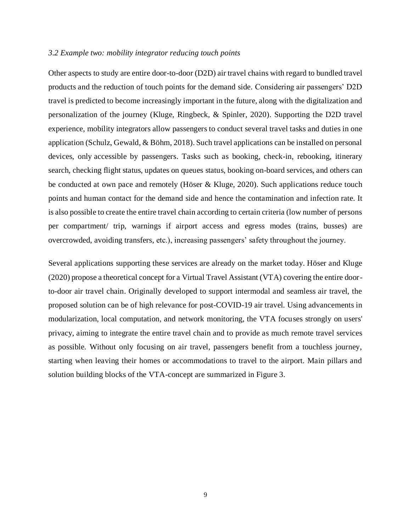#### *3.2 Example two: mobility integrator reducing touch points*

Other aspects to study are entire door-to-door (D2D) air travel chains with regard to bundled travel products and the reduction of touch points for the demand side. Considering air passengers' D2D travel is predicted to become increasingly important in the future, along with the digitalization and personalization of the journey (Kluge, Ringbeck, & Spinler, 2020). Supporting the D2D travel experience, mobility integrators allow passengers to conduct several travel tasks and duties in one application (Schulz, Gewald, & Böhm, 2018). Such travel applications can be installed on personal devices, only accessible by passengers. Tasks such as booking, check-in, rebooking, itinerary search, checking flight status, updates on queues status, booking on-board services, and others can be conducted at own pace and remotely (Höser & Kluge, 2020). Such applications reduce touch points and human contact for the demand side and hence the contamination and infection rate. It is also possible to create the entire travel chain according to certain criteria (low number of persons per compartment/ trip, warnings if airport access and egress modes (trains, busses) are overcrowded, avoiding transfers, etc.), increasing passengers' safety throughout the journey.

Several applications supporting these services are already on the market today. Höser and Kluge (2020) propose a theoretical concept for a Virtual Travel Assistant (VTA) covering the entire doorto-door air travel chain. Originally developed to support intermodal and seamless air travel, the proposed solution can be of high relevance for post-COVID-19 air travel. Using advancements in modularization, local computation, and network monitoring, the VTA focuses strongly on users' privacy, aiming to integrate the entire travel chain and to provide as much remote travel services as possible. Without only focusing on air travel, passengers benefit from a touchless journey, starting when leaving their homes or accommodations to travel to the airport. Main pillars and solution building blocks of the VTA-concept are summarized in Figure 3.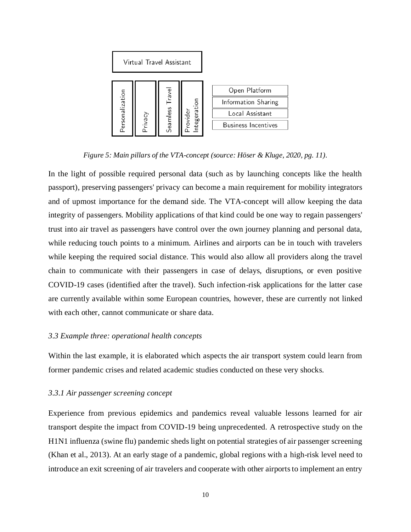

*Figure 5: Main pillars of the VTA-concept (source: Höser & Kluge, 2020, pg. 11).*

In the light of possible required personal data (such as by launching concepts like the health passport), preserving passengers' privacy can become a main requirement for mobility integrators and of upmost importance for the demand side. The VTA-concept will allow keeping the data integrity of passengers. Mobility applications of that kind could be one way to regain passengers' trust into air travel as passengers have control over the own journey planning and personal data, while reducing touch points to a minimum. Airlines and airports can be in touch with travelers while keeping the required social distance. This would also allow all providers along the travel chain to communicate with their passengers in case of delays, disruptions, or even positive COVID-19 cases (identified after the travel). Such infection-risk applications for the latter case are currently available within some European countries, however, these are currently not linked with each other, cannot communicate or share data.

# *3.3 Example three: operational health concepts*

Within the last example, it is elaborated which aspects the air transport system could learn from former pandemic crises and related academic studies conducted on these very shocks.

#### *3.3.1 Air passenger screening concept*

Experience from previous epidemics and pandemics reveal valuable lessons learned for air transport despite the impact from COVID-19 being unprecedented. A retrospective study on the H1N1 influenza (swine flu) pandemic sheds light on potential strategies of air passenger screening (Khan et al., 2013). At an early stage of a pandemic, global regions with a high-risk level need to introduce an exit screening of air travelers and cooperate with other airports to implement an entry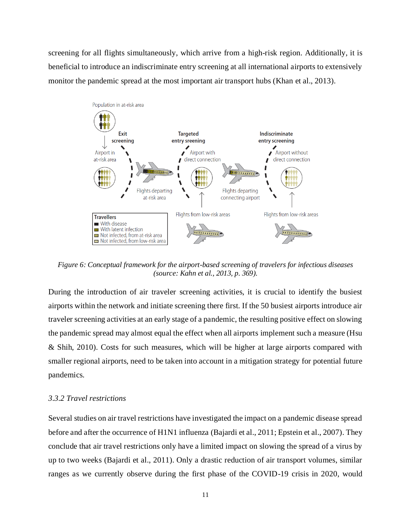screening for all flights simultaneously, which arrive from a high-risk region. Additionally, it is beneficial to introduce an indiscriminate entry screening at all international airports to extensively monitor the pandemic spread at the most important air transport hubs (Khan et al., 2013).



*Figure 6: Conceptual framework for the airport-based screening of travelers for infectious diseases (source: Kahn et al., 2013, p. 369).*

During the introduction of air traveler screening activities, it is crucial to identify the busiest airports within the network and initiate screening there first. If the 50 busiest airports introduce air traveler screening activities at an early stage of a pandemic, the resulting positive effect on slowing the pandemic spread may almost equal the effect when all airports implement such a measure (Hsu & Shih, 2010). Costs for such measures, which will be higher at large airports compared with smaller regional airports, need to be taken into account in a mitigation strategy for potential future pandemics.

## *3.3.2 Travel restrictions*

Several studies on air travel restrictions have investigated the impact on a pandemic disease spread before and after the occurrence of H1N1 influenza (Bajardi et al., 2011; Epstein et al., 2007). They conclude that air travel restrictions only have a limited impact on slowing the spread of a virus by up to two weeks (Bajardi et al., 2011). Only a drastic reduction of air transport volumes, similar ranges as we currently observe during the first phase of the COVID-19 crisis in 2020, would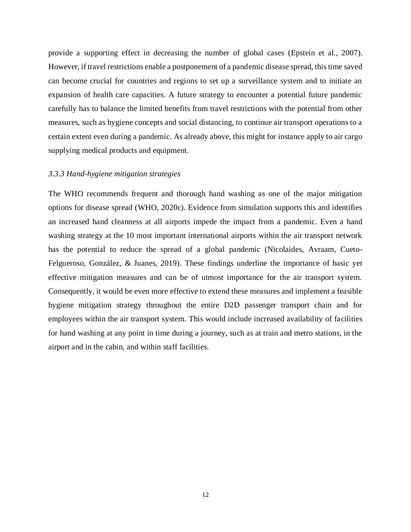provide a supporting effect in decreasing the number of global cases (Epstein et al., 2007). However, if travel restrictions enable a postponement of a pandemic disease spread, this time saved can become crucial for countries and regions to set up a surveillance system and to initiate an expansion of health care capacities. A future strategy to encounter a potential future pandemic carefully has to balance the limited benefits from travel restrictions with the potential from other measures, such as hygiene concepts and social distancing, to continue air transport operations to a certain extent even during a pandemic. As already above, this might for instance apply to air cargo supplying medical products and equipment.

## *3.3.3 Hand-hygiene mitigation strategies*

The WHO recommends frequent and thorough hand washing as one of the major mitigation options for disease spread (WHO, 2020c). Evidence from simulation supports this and identifies an increased hand cleanness at all airports impede the impact from a pandemic. Even a hand washing strategy at the 10 most important international airports within the air transport network has the potential to reduce the spread of a global pandemic (Nicolaides, Avraam, Cueto-Felgueroso, González, & Juanes, 2019). These findings underline the importance of basic yet effective mitigation measures and can be of utmost importance for the air transport system. Consequently, it would be even more effective to extend these measures and implement a feasible hygiene mitigation strategy throughout the entire D2D passenger transport chain and for employees within the air transport system. This would include increased availability of facilities for hand washing at any point in time during a journey, such as at train and metro stations, in the airport and in the cabin, and within staff facilities.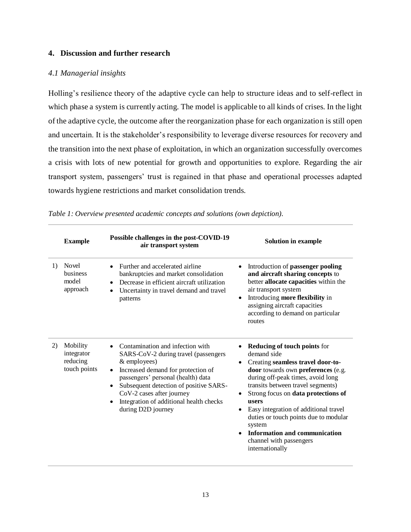# **4. Discussion and further research**

# *4.1 Managerial insights*

Holling's resilience theory of the adaptive cycle can help to structure ideas and to self-reflect in which phase a system is currently acting. The model is applicable to all kinds of crises. In the light of the adaptive cycle, the outcome after the reorganization phase for each organization is still open and uncertain. It is the stakeholder's responsibility to leverage diverse resources for recovery and the transition into the next phase of exploitation, in which an organization successfully overcomes a crisis with lots of new potential for growth and opportunities to explore. Regarding the air transport system, passengers' trust is regained in that phase and operational processes adapted towards hygiene restrictions and market consolidation trends.

|    | <b>Example</b>                                     | Possible challenges in the post-COVID-19<br>air transport system                                                                                                                                                                                                                                                                                    | <b>Solution in example</b>                                                                                                                                                                                                                                                                                                                                                                                                         |
|----|----------------------------------------------------|-----------------------------------------------------------------------------------------------------------------------------------------------------------------------------------------------------------------------------------------------------------------------------------------------------------------------------------------------------|------------------------------------------------------------------------------------------------------------------------------------------------------------------------------------------------------------------------------------------------------------------------------------------------------------------------------------------------------------------------------------------------------------------------------------|
| 1) | Novel<br>business<br>model<br>approach             | Further and accelerated airline<br>$\bullet$<br>bankruptcies and market consolidation<br>Decrease in efficient aircraft utilization<br>$\bullet$<br>Uncertainty in travel demand and travel<br>patterns                                                                                                                                             | Introduction of passenger pooling<br>and aircraft sharing concepts to<br>better allocate capacities within the<br>air transport system<br>Introducing more flexibility in<br>$\bullet$<br>assigning aircraft capacities<br>according to demand on particular<br>routes                                                                                                                                                             |
| 2) | Mobility<br>integrator<br>reducing<br>touch points | Contamination and infection with<br>SARS-CoV-2 during travel (passengers<br>& employees)<br>Increased demand for protection of<br>$\bullet$<br>passengers' personal (health) data<br>Subsequent detection of positive SARS-<br>$\bullet$<br>CoV-2 cases after journey<br>Integration of additional health checks<br>$\bullet$<br>during D2D journey | <b>Reducing of touch points for</b><br>demand side<br>Creating seamless travel door-to-<br>door towards own preferences (e.g.<br>during off-peak times, avoid long<br>transits between travel segments)<br>Strong focus on data protections of<br>users<br>Easy integration of additional travel<br>duties or touch points due to modular<br>system<br>Information and communication<br>channel with passengers<br>internationally |

*Table 1: Overview presented academic concepts and solutions (own depiction).*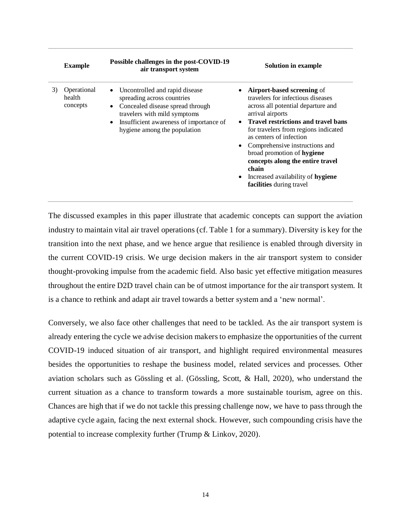|    | <b>Example</b>                    | Possible challenges in the post-COVID-19<br>air transport system                                                                                                                                                  | <b>Solution in example</b>                                                                                                                                                                                                                                                                                                                                                                                                                           |
|----|-----------------------------------|-------------------------------------------------------------------------------------------------------------------------------------------------------------------------------------------------------------------|------------------------------------------------------------------------------------------------------------------------------------------------------------------------------------------------------------------------------------------------------------------------------------------------------------------------------------------------------------------------------------------------------------------------------------------------------|
| 3) | Operational<br>health<br>concepts | • Uncontrolled and rapid disease<br>spreading across countries<br>• Concealed disease spread through<br>travelers with mild symptoms<br>• Insufficient awareness of importance of<br>hygiene among the population | <b>Airport-based screening of</b><br>travelers for infectious diseases<br>across all potential departure and<br>arrival airports<br>• Travel restrictions and travel bans<br>for travelers from regions indicated<br>as centers of infection<br>Comprehensive instructions and<br>$\bullet$<br>broad promotion of hygiene<br>concepts along the entire travel<br>chain<br>Increased availability of hygiene<br>$\bullet$<br>facilities during travel |

The discussed examples in this paper illustrate that academic concepts can support the aviation industry to maintain vital air travel operations (cf. Table 1 for a summary). Diversity is key for the transition into the next phase, and we hence argue that resilience is enabled through diversity in the current COVID-19 crisis. We urge decision makers in the air transport system to consider thought-provoking impulse from the academic field. Also basic yet effective mitigation measures throughout the entire D2D travel chain can be of utmost importance for the air transport system. It is a chance to rethink and adapt air travel towards a better system and a 'new normal'.

Conversely, we also face other challenges that need to be tackled. As the air transport system is already entering the cycle we advise decision makers to emphasize the opportunities of the current COVID-19 induced situation of air transport, and highlight required environmental measures besides the opportunities to reshape the business model, related services and processes. Other aviation scholars such as Gössling et al. (Gössling, Scott, & Hall, 2020), who understand the current situation as a chance to transform towards a more sustainable tourism, agree on this. Chances are high that if we do not tackle this pressing challenge now, we have to pass through the adaptive cycle again, facing the next external shock. However, such compounding crisis have the potential to increase complexity further (Trump & Linkov, 2020).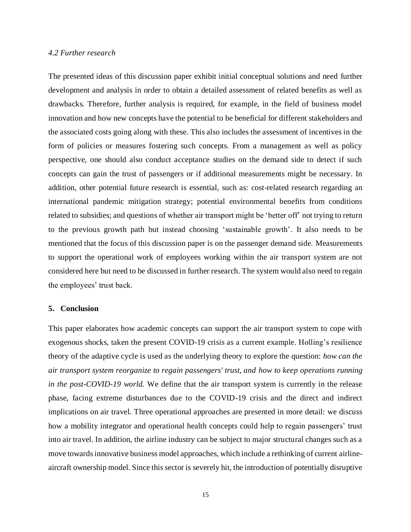### *4.2 Further research*

The presented ideas of this discussion paper exhibit initial conceptual solutions and need further development and analysis in order to obtain a detailed assessment of related benefits as well as drawbacks. Therefore, further analysis is required, for example, in the field of business model innovation and how new concepts have the potential to be beneficial for different stakeholders and the associated costs going along with these. This also includes the assessment of incentives in the form of policies or measures fostering such concepts. From a management as well as policy perspective, one should also conduct acceptance studies on the demand side to detect if such concepts can gain the trust of passengers or if additional measurements might be necessary. In addition, other potential future research is essential, such as: cost-related research regarding an international pandemic mitigation strategy; potential environmental benefits from conditions related to subsidies; and questions of whether air transport might be 'better off' not trying to return to the previous growth path but instead choosing 'sustainable growth'. It also needs to be mentioned that the focus of this discussion paper is on the passenger demand side. Measurements to support the operational work of employees working within the air transport system are not considered here but need to be discussed in further research. The system would also need to regain the employees' trust back.

#### **5. Conclusion**

This paper elaborates how academic concepts can support the air transport system to cope with exogenous shocks, taken the present COVID-19 crisis as a current example. Holling's resilience theory of the adaptive cycle is used as the underlying theory to explore the question: *how can the air transport system reorganize to regain passengers' trust, and how to keep operations running in the post-COVID-19 world.* We define that the air transport system is currently in the release phase, facing extreme disturbances due to the COVID-19 crisis and the direct and indirect implications on air travel. Three operational approaches are presented in more detail: we discuss how a mobility integrator and operational health concepts could help to regain passengers' trust into air travel. In addition, the airline industry can be subject to major structural changes such as a move towards innovative business model approaches, which include a rethinking of current airlineaircraft ownership model. Since this sector is severely hit, the introduction of potentially disruptive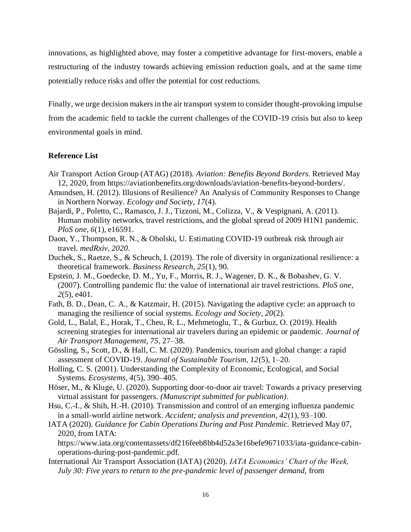innovations, as highlighted above, may foster a competitive advantage for first-movers, enable a restructuring of the industry towards achieving emission reduction goals, and at the same time potentially reduce risks and offer the potential for cost reductions.

Finally, we urge decision makers in the air transport system to consider thought-provoking impulse from the academic field to tackle the current challenges of the COVID-19 crisis but also to keep environmental goals in mind.

# **Reference List**

- Air Transport Action Group (ATAG) (2018). *Aviation: Benefits Beyond Borders.* Retrieved May 12, 2020, from https://aviationbenefits.org/downloads/aviation-benefits-beyond-borders/.
- Amundsen, H. (2012). Illusions of Resilience? An Analysis of Community Responses to Change in Northern Norway. *Ecology and Society, 17*(4).
- Bajardi, P., Poletto, C., Ramasco, J. J., Tizzoni, M., Colizza, V., & Vespignani, A. (2011). Human mobility networks, travel restrictions, and the global spread of 2009 H1N1 pandemic. *PloS one, 6*(1), e16591.
- Daon, Y., Thompson, R. N., & Obolski, U. Estimating COVID-19 outbreak risk through air travel. *medRxiv, 2020*.
- Duchek, S., Raetze, S., & Scheuch, I. (2019). The role of diversity in organizational resilience: a theoretical framework. *Business Research, 25*(1), 90.
- Epstein, J. M., Goedecke, D. M., Yu, F., Morris, R. J., Wagener, D. K., & Bobashev, G. V. (2007). Controlling pandemic flu: the value of international air travel restrictions. *PloS one, 2*(5), e401.
- Fath, B. D., Dean, C. A., & Katzmair, H. (2015). Navigating the adaptive cycle: an approach to managing the resilience of social systems. *Ecology and Society, 20*(2).
- Gold, L., Balal, E., Horak, T., Cheu, R. L., Mehmetoglu, T., & Gurbuz, O. (2019). Health screening strategies for international air travelers during an epidemic or pandemic. *Journal of Air Transport Management, 75*, 27–38.
- Gössling, S., Scott, D., & Hall, C. M. (2020). Pandemics, tourism and global change: a rapid assessment of COVID-19. *Journal of Sustainable Tourism, 12*(5), 1–20.
- Holling, C. S. (2001). Understanding the Complexity of Economic, Ecological, and Social Systems. *Ecosystems, 4*(5), 390–405.
- Höser, M., & Kluge, U. (2020). Supporting door-to-door air travel: Towards a privacy preserving virtual assistant for passengers. *(Manuscript submitted for publication)*.
- Hsu, C.-I., & Shih, H.-H. (2010). Transmission and control of an emerging influenza pandemic in a small-world airline network. *Accident; analysis and prevention, 42*(1), 93–100.
- IATA (2020). *Guidance for Cabin Operations During and Post Pandemic.* Retrieved May 07, 2020, from IATA:

https://www.iata.org/contentassets/df216feeb8bb4d52a3e16befe9671033/iata-guidance-cabinoperations-during-post-pandemic.pdf.

International Air Transport Association (IATA) (2020). *IATA Economics' Chart of the Week, July 30: Five years to return to the pre-pandemic level of passenger demand,* from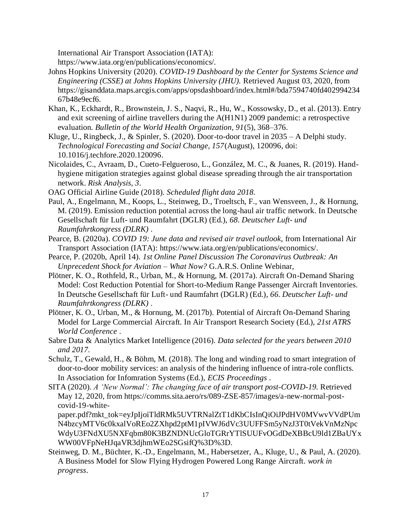International Air Transport Association (IATA):

https://www.iata.org/en/publications/economics/.

- Johns Hopkins University (2020). *COVID-19 Dashboard by the Center for Systems Science and Engineering (CSSE) at Johns Hopkins University (JHU).* Retrieved August 03, 2020, from https://gisanddata.maps.arcgis.com/apps/opsdashboard/index.html#/bda7594740fd402994234 67b48e9ecf6.
- Khan, K., Eckhardt, R., Brownstein, J. S., Naqvi, R., Hu, W., Kossowsky, D., et al. (2013). Entry and exit screening of airline travellers during the A(H1N1) 2009 pandemic: a retrospective evaluation. *Bulletin of the World Health Organization, 91*(5), 368–376.
- Kluge, U., Ringbeck, J., & Spinler, S. (2020). Door-to-door travel in 2035 A Delphi study. *Technological Forecasting and Social Change, 157*(August), 120096, doi: 10.1016/j.techfore.2020.120096.
- Nicolaides, C., Avraam, D., Cueto-Felgueroso, L., González, M. C., & Juanes, R. (2019). Handhygiene mitigation strategies against global disease spreading through the air transportation network. *Risk Analysis, 3*.
- OAG Official Airline Guide (2018). *Scheduled flight data 2018.*
- Paul, A., Engelmann, M., Koops, L., Steinweg, D., Troeltsch, F., van Wensveen, J., & Hornung, M. (2019). Emission reduction potential across the long-haul air traffic network. In Deutsche Gesellschaft für Luft- und Raumfahrt (DGLR) (Ed.), *68. Deutscher Luft- und Raumfahrtkongress (DLRK)* .
- Pearce, B. (2020a). *COVID 19: June data and revised air travel outlook,* from International Air Transport Association (IATA): https://www.iata.org/en/publications/economics/.
- Pearce, P. (2020b, April 14). *1st Online Panel Discussion The Coronavirus Outbreak: An Unprecedent Shock for Aviation – What Now?* G.A.R.S. Online Webinar,
- Plötner, K. O., Rothfeld, R., Urban, M., & Hornung, M. (2017a). Aircraft On-Demand Sharing Model: Cost Reduction Potential for Short-to-Medium Range Passenger Aircraft Inventories. In Deutsche Gesellschaft für Luft- und Raumfahrt (DGLR) (Ed.), *66. Deutscher Luft- und Raumfahrtkongress (DLRK)* .
- Plötner, K. O., Urban, M., & Hornung, M. (2017b). Potential of Aircraft On-Demand Sharing Model for Large Commercial Aircraft. In Air Transport Research Society (Ed.), *21st ATRS World Conference* .
- Sabre Data & Analytics Market Intelligence (2016). *Data selected for the years between 2010 and 2017.*
- Schulz, T., Gewald, H., & Böhm, M. (2018). The long and winding road to smart integration of door-to-door mobility services: an analysis of the hindering influence of intra-role conflicts. In Association for Infomration Systems (Ed.), *ECIS Proceedings* .
- SITA (2020). *A 'New Normal': The changing face of air transport post-COVID-19.* Retrieved May 12, 2020, from https://comms.sita.aero/rs/089-ZSE-857/images/a-new-normal-postcovid-19-white-

paper.pdf?mkt\_tok=eyJpIjoiTldRMk5UVTRNalZtT1dKbCIsInQiOiJPdHV0MVwvVVdPUm N4bzcyMTV6c0kxalVoREo2ZXhpd2ptM1pIVWJ6dVc3UUFFSm5yNzJ3T0tVekVnMzNpc WdyU3FNdXU5NXFqbm80K3BZNDNUcGloTGRrYTlSUUFvOGdDeXBBcU9ld1ZBaUYx WW00VFpNeHJqaVR3djhmWEo2SGsifQ%3D%3D.

Steinweg, D. M., Büchter, K.-D., Engelmann, M., Habersetzer, A., Kluge, U., & Paul, A. (2020). A Business Model for Slow Flying Hydrogen Powered Long Range Aircraft. *work in progress*.